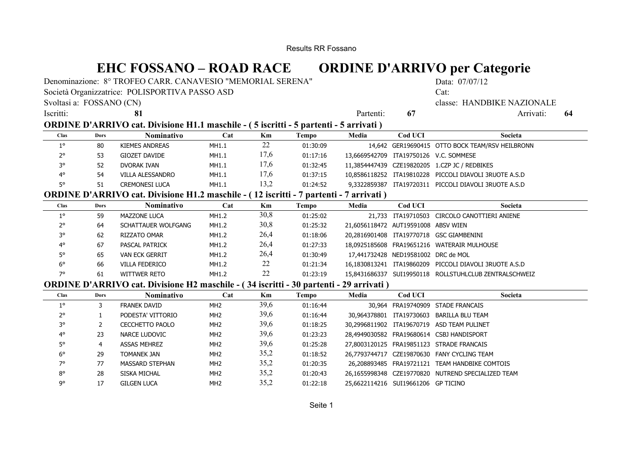Results RR Fossano

# **EHC FOSSANO – ROAD RACE ORDINE D'ARRIVO per Categorie**

Denominazione: 8° TROFEO CARR. CANAVESIO "MEMORIAL SERENA" Data: 07/07/12

Società Organizzatrice: POLISPORTIVA PASSO ASD Cat:

Svoltasi a: FOSSANO (CN) classe: HANDBIKE NAZIONALE

Iscritti: **81** Partenti: **67** Arrivati: **64**

| <b>ORDINE D'ARRIVO cat. Divisione H1.1 maschile - (5 iscritti - 5 partenti - 5 arrivati)</b> |  |
|----------------------------------------------------------------------------------------------|--|
|                                                                                              |  |

| <b>Clas</b>    | <b>Dors</b> | Nominativo            | ∟'at  | Km   | Tempo    | Media | Cod UCI | Societa                                                |
|----------------|-------------|-----------------------|-------|------|----------|-------|---------|--------------------------------------------------------|
| 10             | 80          | KIEMES ANDREAS        | MH1.1 | 22   | 01:30:09 |       |         | 14,642 GER19690415 OTTO BOCK TEAM/RSV HEILBRONN        |
| າ∘<br><u>_</u> | 53          | <b>GIOZET DAVIDE</b>  | MH1.1 | 17.6 | 01:17:16 |       |         | 13,6669542709 ITA19750126 V.C. SOMMESE                 |
| 2٥             | 52          | DVORAK IVAN           | MH1.1 | 17,6 | 01:32:45 |       |         | 11,3854447439 CZE19820205 1.CZP JC / REDBIKES          |
| $4^\circ$      | 54          | VILLA ALESSANDRO      | MH1.1 | 17,6 | 01:37:15 |       |         | 10.8586118252 ITA19810228 PICCOLI DIAVOLI 3RUOTE A.S.D |
| ᄕ              | 51          | <b>CREMONESI LUCA</b> | MH1.1 | 13,2 | 01:24:52 |       |         | 9,3322859387 ITA19720311 PICCOLI DIAVOLI 3RUOTE A.S.D  |

#### **ORDINE D'ARRIVO cat. Divisione H1.2 maschile - ( 12 iscritti - 7 partenti - 7 arrivati )**

| <b>Clas</b> | Dors | <b>Nominativo</b>     | Cat   | Km   | Tempo    | Media                               | Cod UCI | Societa                                                |
|-------------|------|-----------------------|-------|------|----------|-------------------------------------|---------|--------------------------------------------------------|
| 10          | 59   | MAZZONE LUCA          | MH1.2 | 30,8 | 01:25:02 |                                     |         | 21,733 ITA19710503 CIRCOLO CANOTTIERI ANIENE           |
| $2^{\circ}$ | 64   | SCHATTAUER WOLFGANG   | MH1.2 | 30,8 | 01:25:32 | 21,6056118472 AUT19591008 ABSV WIEN |         |                                                        |
| 3°          | 62   | RIZZATO OMAR          | MH1.2 | 26,4 | 01:18:06 |                                     |         | 20,2816901408 ITA19770718 GSC GIAMBENINI               |
| $4^\circ$   | 67   | <b>PASCAL PATRICK</b> | MH1.2 | 26,4 | 01:27:33 |                                     |         | 18.0925185608 FRA19651216 WATERAIR MULHOUSE            |
| 5°          | 65   | <b>VAN ECK GERRIT</b> | MH1.2 | 26,4 | 01:30:49 | 17,441732428 NED19581002 DRC de MOL |         |                                                        |
| $6^{\circ}$ | 66   | VILLA FEDERICO        | MH1.2 | 22   | 01:21:34 |                                     |         | 16.1830813241 ITA19860209 PICCOLI DIAVOLI 3RUOTE A.S.D |
| 70          | 61   | WITTWER RETO          | MH1.2 | 22   | 01:23:19 |                                     |         | 15.8431686337 SUI19950118 ROLLSTUHLCLUB ZENTRALSCHWEIZ |

### **ORDINE D'ARRIVO cat. Divisione H2 maschile - ( 34 iscritti - 30 partenti - 29 arrivati )**

| Clas        | Dors | Nominativo          | Cat             | Km   | Tempo    | Media                               | Cod UCI                  | Societa                                            |
|-------------|------|---------------------|-----------------|------|----------|-------------------------------------|--------------------------|----------------------------------------------------|
| $1^{\circ}$ |      | FRANEK DAVID        | MH <sub>2</sub> | 39,6 | 01:16:44 |                                     |                          | 30.964 FRA19740909 STADE FRANCAIS                  |
| $2^{\circ}$ |      | PODESTA' VITTORIO   | MH <sub>2</sub> | 39,6 | 01:16:44 |                                     | 30.964378801 ITA19730603 | BARILLA BLU TEAM                                   |
| З۰          |      | CECCHETTO PAOLO     | MH <sub>2</sub> | 39,6 | 01:18:25 |                                     |                          | 30.2996811902 ITA19670719 ASD TEAM PULINET         |
| $4^\circ$   | 23   | NARCE LUDOVIC       | MH <sub>2</sub> | 39,6 | 01:23:23 |                                     |                          | 28.4949030582 FRA19680614 CSBJ HANDISPORT          |
| 5°          | 4    | <b>ASSAS MEHREZ</b> | MH <sub>2</sub> | 39,6 | 01:25:28 |                                     |                          | 27.8003120125 FRA19851123 STRADE FRANCAIS          |
| $6^{\circ}$ | 29   | TOMANEK JAN         | MH <sub>2</sub> | 35,2 | 01:18:52 |                                     |                          | 26.7793744717 CZE19870630 FANY CYCLING TEAM        |
| 70          | 77   | MASSARD STEPHAN     | MH <sub>2</sub> | 35,2 | 01:20:35 |                                     |                          | 26.208893485 FRA19721121 TEAM HANDBIKE COMTOIS     |
| $8^{\circ}$ | 28   | SISKA MICHAL        | MH <sub>2</sub> | 35,2 | 01:20:43 |                                     |                          | 26.1655998348 CZE19770820 NUTREND SPECIALIZED TEAM |
| ٩°          | 17   | <b>GILGEN LUCA</b>  | MH <sub>2</sub> | 35,2 | 01:22:18 | 25.6622114216 SUI19661206 GP TICINO |                          |                                                    |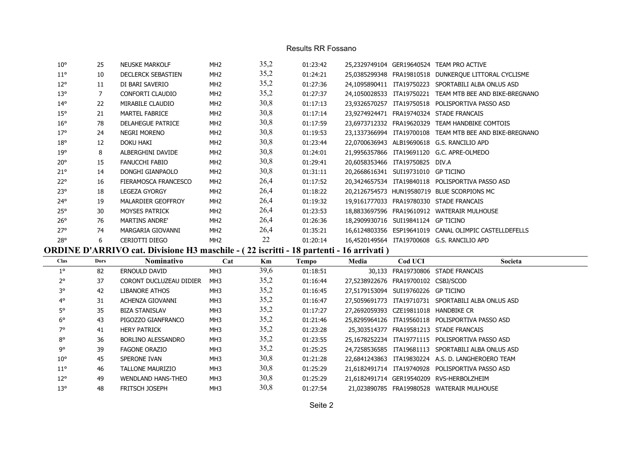#### Results RR Fossano

| $10^{\circ}$ | 25 | <b>NEUSKE MARKOLF</b>     | MH <sub>2</sub> | 35,2 | 01:23:42 |                                     | 25,2329749104 GER19640524 TEAM PRO ACTIVE                |
|--------------|----|---------------------------|-----------------|------|----------|-------------------------------------|----------------------------------------------------------|
| $11^{\circ}$ | 10 | <b>DECLERCK SEBASTIEN</b> | MH <sub>2</sub> | 35,2 | 01:24:21 |                                     | 25,0385299348 FRA19810518 DUNKERQUE LITTORAL CYCLISME    |
| $12^{\circ}$ | 11 | DI BARI SAVERIO           | MH <sub>2</sub> | 35,2 | 01:27:36 | 24.1095890411 ITA19750223           | SPORTABILI ALBA ONLUS ASD                                |
| $13^{\circ}$ | 7  | CONFORTI CLAUDIO          | MH <sub>2</sub> | 35,2 | 01:27:37 | 24.1050028533 ITA19750221           | TEAM MTB BEE AND BIKE-BREGNANO                           |
| $14^{\circ}$ | 22 | MIRABILE CLAUDIO          | MH <sub>2</sub> | 30,8 | 01:17:13 |                                     | 23.9326570257 ITA19750518 POLISPORTIVA PASSO ASD         |
| $15^{\circ}$ | 21 | MARTEL FABRICE            | MH <sub>2</sub> | 30,8 | 01:17:14 |                                     | 23.9274924471 FRA19740324 STADE FRANCAIS                 |
| $16^{\circ}$ | 78 | <b>DELAHEGUE PATRICE</b>  | MH <sub>2</sub> | 30,8 | 01:17:59 | 23,6973712332 FRA19620329           | TEAM HANDBIKE COMTOIS                                    |
| 17°          | 24 | <b>NEGRI MORENO</b>       | MH <sub>2</sub> | 30,8 | 01:19:53 |                                     | 23,1337366994 ITA19700108 TEAM MTB BEE AND BIKE-BREGNANO |
| $18^{\circ}$ | 12 | DOKU HAKI                 | MH <sub>2</sub> | 30,8 | 01:23:44 |                                     | 22,0700636943 ALB19690618 G.S. RANCILIO APD              |
| 19°          | 8  | ALBERGHINI DAVIDE         | MH <sub>2</sub> | 30,8 | 01:24:01 |                                     | 21,9956357866 ITA19691120 G.C. APRE-OLMEDO               |
| $20^{\circ}$ | 15 | <b>FANUCCHI FABIO</b>     | MH <sub>2</sub> | 30,8 | 01:29:41 | 20,6058353466 ITA19750825 DIV.A     |                                                          |
| $21^{\circ}$ | 14 | DONGHI GIANPAOLO          | MH <sub>2</sub> | 30,8 | 01:31:11 | 20,2668616341 SUI19731010 GP TICINO |                                                          |
| $22^{\circ}$ | 16 | FIERAMOSCA FRANCESCO      | MH <sub>2</sub> | 26,4 | 01:17:52 |                                     | 20,3424657534 ITA19840118 POLISPORTIVA PASSO ASD         |
| $23^\circ$   | 18 | <b>LEGEZA GYORGY</b>      | MH <sub>2</sub> | 26,4 | 01:18:22 |                                     | 20,2126754573 HUN19580719 BLUE SCORPIONS MC              |
| $24^{\circ}$ | 19 | MALARDIER GEOFFROY        | MH <sub>2</sub> | 26,4 | 01:19:32 |                                     | 19,9161777033 FRA19780330 STADE FRANCAIS                 |
| 25°          | 30 | <b>MOYSES PATRICK</b>     | MH <sub>2</sub> | 26,4 | 01:23:53 |                                     | 18,8833697596 FRA19610912 WATERAIR MULHOUSE              |
| $26^{\circ}$ | 76 | <b>MARTINS ANDRE'</b>     | MH <sub>2</sub> | 26,4 | 01:26:36 | 18,2909930716 SUI19841124 GP TICINO |                                                          |
| $27^\circ$   | 74 | MARGARIA GIOVANNI         | MH <sub>2</sub> | 26,4 | 01:35:21 | 16,6124803356 ESP19641019           | CANAL OLIMPIC CASTELLDEFELLS                             |
| <b>28°</b>   | 6  | <b>CERIOTTI DIEGO</b>     | MH <sub>2</sub> | 22   | 01:20:14 |                                     | 16.4520149564 ITA19700608 G.S. RANCILIO APD              |

## **ORDINE D'ARRIVO cat. Divisione H3 maschile - ( 22 iscritti - 18 partenti - 16 arrivati )**

| Clas         | Dors | <b>Nominativo</b>       | Cat             | Km   | Tempo    | Media                                 | <b>Cod UCI</b> | Societa                                             |
|--------------|------|-------------------------|-----------------|------|----------|---------------------------------------|----------------|-----------------------------------------------------|
| $1^{\circ}$  | 82   | ERNOULD DAVID           | MH <sub>3</sub> | 39,6 | 01:18:51 |                                       |                | 30.133 FRA19730806 STADE FRANCAIS                   |
| $2^{\circ}$  | 37   | CORONT DUCLUZEAU DIDIER | MH3             | 35,2 | 01:16:44 | 27.5238922676 FRA19700102 CSBJ/SCOD   |                |                                                     |
| З٥           | 42   | <b>LIBANORE ATHOS</b>   | MH <sub>3</sub> | 35,2 | 01:16:45 | 27.5179153094 SUI19760226 GP TICINO   |                |                                                     |
| $4^\circ$    | 31   | ACHENZA GIOVANNI        | MH3             | 35,2 | 01:16:47 |                                       |                | 27.5059691773 ITA19710731 SPORTABILI ALBA ONLUS ASD |
| 5°           | 35   | <b>BIZA STANISLAV</b>   | MH <sub>3</sub> | 35,2 | 01:17:27 | 27.2692059393 CZE19811018 HANDBIKE CR |                |                                                     |
| $6^{\circ}$  | 43   | PIGOZZO GIANFRANCO      | MH <sub>3</sub> | 35,2 | 01:21:46 |                                       |                | 25.8295964126 ITA19560118 POLISPORTIVA PASSO ASD    |
| 7°           | 41   | <b>HERY PATRICK</b>     | MH3             | 35,2 | 01:23:28 |                                       |                | 25.303514377 FRA19581213 STADE FRANCAIS             |
| $8^{\circ}$  | 36   | BORLINO ALESSANDRO      | MH3             | 35,2 | 01:23:55 |                                       |                | 25.1678252234 ITA19771115 POLISPORTIVA PASSO ASD    |
| go           | 39   | <b>FAGONE ORAZIO</b>    | MH <sub>3</sub> | 35,2 | 01:25:25 |                                       |                | 24.7258536585 ITA19681113 SPORTABILI ALBA ONLUS ASD |
| $10^{\circ}$ | 45   | SPERONE IVAN            | MH <sub>3</sub> | 30.8 | 01:21:28 |                                       |                | 22.6841243863 ITA19830224 A.S. D. LANGHEROERO TEAM  |
| $11^{\circ}$ | 46   | <b>TALLONE MAURIZIO</b> | MH3             | 30,8 | 01:25:29 |                                       |                | 21.6182491714 ITA19740928 POLISPORTIVA PASSO ASD    |
| $12^{\circ}$ | 49   | WENDLAND HANS-THEO      | MH <sub>3</sub> | 30.8 | 01:25:29 |                                       |                | 21.6182491714 GER19540209 RVS-HERBOLZHEIM           |
| $13^{\circ}$ | 48   | <b>FRITSCH JOSEPH</b>   | MH <sub>3</sub> | 30,8 | 01:27:54 |                                       |                | 21.023890785 FRA19980528 WATERAIR MULHOUSE          |